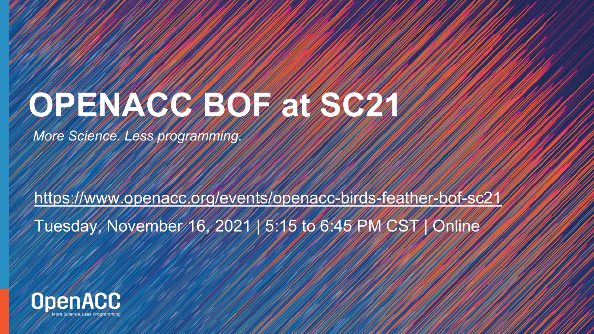# **OPENACCE SOF AT SCALAR**

*More Science. Less programming.* 

<https://www.openacc.org/events/openacc-birds-feather-bof-sc21>

Tuesday, November 16, 2021 | 5:15 to 6:45 PM CST | Online

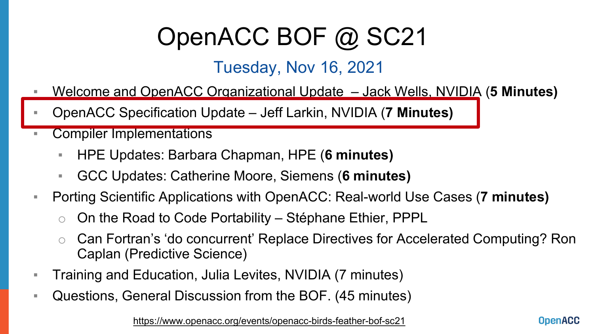# OpenACC BOF @ SC21

#### Tuesday, Nov 16, 2021

- Welcome and OpenACC Organizational Update Jack Wells, NVIDIA (**5 Minutes)**
- OpenACC Specification Update Jeff Larkin, NVIDIA (**7 Minutes)**
- Compiler Implementations
	- HPE Updates: Barbara Chapman, HPE (**6 minutes)**
	- GCC Updates: Catherine Moore, Siemens (**6 minutes)**
- Porting Scientific Applications with OpenACC: Real-world Use Cases (**7 minutes)** 
	- $\circ$  On the Road to Code Portability Stéphane Ethier, PPPL
	- Can Fortran's 'do concurrent' Replace Directives for Accelerated Computing? Ron Caplan (Predictive Science)
- **Training and Education, Julia Levites, NVIDIA (7 minutes)**
- Questions, General Discussion from the BOF. (45 minutes)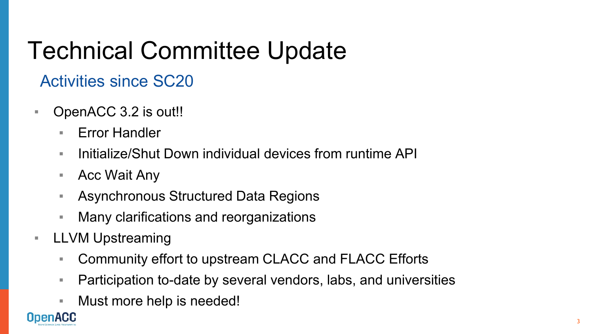# Technical Committee Update

#### Activities since SC20

- OpenACC 3.2 is out!!
	- Error Handler
	- **EXA** Initialize/Shut Down individual devices from runtime API
	- Acc Wait Any
	- Asynchronous Structured Data Regions
	- Many clarifications and reorganizations
- LLVM Upstreaming
	- Community effort to upstream CLACC and FLACC Efforts
	- Participation to-date by several vendors, labs, and universities
	- Must more help is needed!

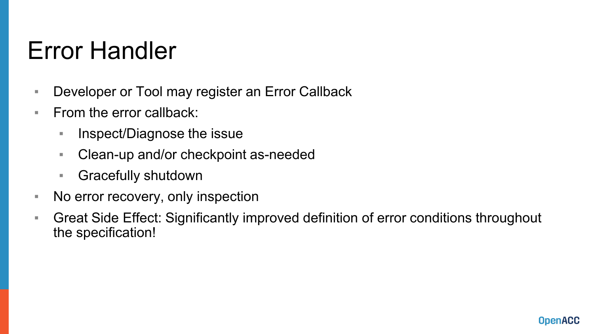### Error Handler

- Developer or Tool may register an Error Callback
- $\blacksquare$  From the error callback:
	- Inspect/Diagnose the issue
	- Clean-up and/or checkpoint as-needed
	- Gracefully shutdown
- No error recovery, only inspection
- **EXT** Great Side Effect: Significantly improved definition of error conditions throughout the specification!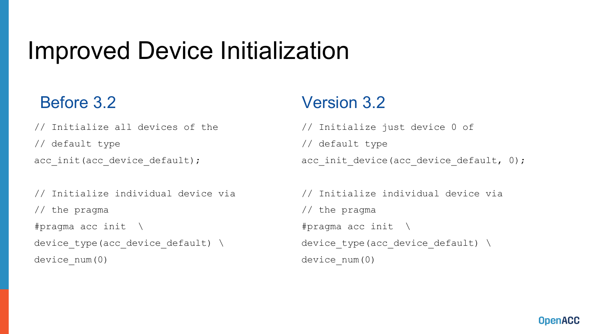### Improved Device Initialization

#### Before 3.2

// Initialize all devices of the // default type acc\_init(acc\_device\_default);

```
// Initialize individual device via
// the pragma
#pragma acc init \
device type(acc device default) \setminusdevice_num(0)
```
#### Version 3.2

// Initialize just device 0 of // default type acc init device(acc device default, 0);

```
// Initialize individual device via
// the pragma
#pragma acc init \
device type(acc device default) \setminusdevice_num(0)
```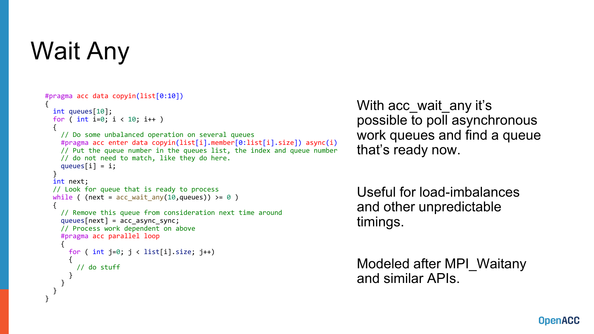# Wait Any

```
#pragma acc data copyin(list[0:10])
{
  int queues[10];
 for ( int i=0; i < 10; i++ )
  {
    // Do some unbalanced operation on several queues
   #pragma acc enter data copyin(list[i].member[0:list[i].size]) async(i)
   // Put the queue number in the queues list, the index and queue number
   // do not need to match, like they do here.
    queues[i] = i;}
  int next;
 // Look for queue that is ready to process
  while ( (next = acc wait any(10,queues)) >= 0 )
  {
    // Remove this queue from consideration next time around
    queues[next] = acc_async_sync;
    // Process work dependent on above
    #pragma acc parallel loop
    {
     for ( int j=0; j < list[i].size; j++)
      {
        // do stuff
      }
    }
  }
}
```
With acc\_wait\_any it's possible to poll asynchronous work queues and find a queue that's ready now.

Useful for load-imbalances and other unpredictable timings.

Modeled after MPI\_Waitany and similar APIs.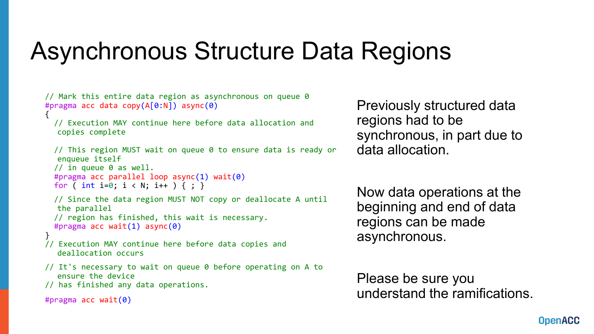### Asynchronous Structure Data Regions

```
// Mark this entire data region as asynchronous on queue 0
#pragma acc data copy(A[0:N]) async(0)
{
  // Execution MAY continue here before data allocation and 
  copies complete
  // This region MUST wait on queue 0 to ensure data is ready or 
  enqueue itself
  // in queue 0 as well.
  #pragma acc parallel loop async(1) wait(0)
  for ( int i=0; i < N; i++ ) { ; }
  // Since the data region MUST NOT copy or deallocate A until 
  the parallel
  // region has finished, this wait is necessary.
  #pragma acc wait(1) async(0)
}
// Execution MAY continue here before data copies and 
   deallocation occurs
// It's necessary to wait on queue 0 before operating on A to 
   ensure the device
// has finished any data operations.
```

```
#pragma acc wait(0)
```
Previously structured data regions had to be synchronous, in part due to data allocation.

Now data operations at the beginning and end of data regions can be made asynchronous.

Please be sure you understand the ramifications.